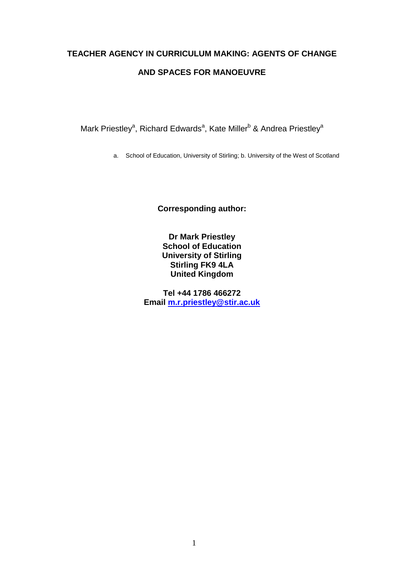# **TEACHER AGENCY IN CURRICULUM MAKING: AGENTS OF CHANGE AND SPACES FOR MANOEUVRE**

Mark Priestley<sup>a</sup>, Richard Edwards<sup>a</sup>, Kate Miller<sup>b</sup> & Andrea Priestley<sup>a</sup>

a. School of Education, University of Stirling; b. University of the West of Scotland

## **Corresponding author:**

**Dr Mark Priestley School of Education University of Stirling Stirling FK9 4LA United Kingdom**

**Tel +44 1786 466272 Email [m.r.priestley@stir.ac.uk](mailto:m.r.priestley@stir.ac.uk)**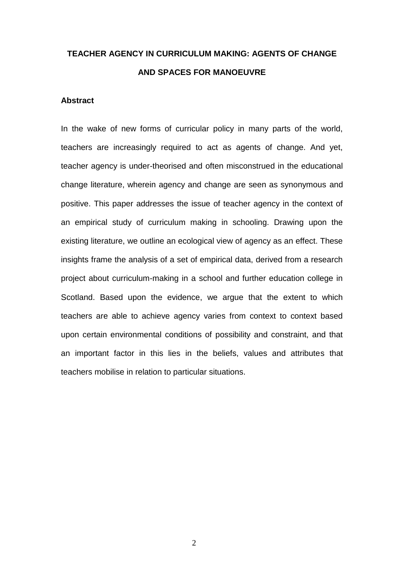# **TEACHER AGENCY IN CURRICULUM MAKING: AGENTS OF CHANGE AND SPACES FOR MANOEUVRE**

### **Abstract**

In the wake of new forms of curricular policy in many parts of the world, teachers are increasingly required to act as agents of change. And yet, teacher agency is under-theorised and often misconstrued in the educational change literature, wherein agency and change are seen as synonymous and positive. This paper addresses the issue of teacher agency in the context of an empirical study of curriculum making in schooling. Drawing upon the existing literature, we outline an ecological view of agency as an effect. These insights frame the analysis of a set of empirical data, derived from a research project about curriculum-making in a school and further education college in Scotland. Based upon the evidence, we argue that the extent to which teachers are able to achieve agency varies from context to context based upon certain environmental conditions of possibility and constraint, and that an important factor in this lies in the beliefs, values and attributes that teachers mobilise in relation to particular situations.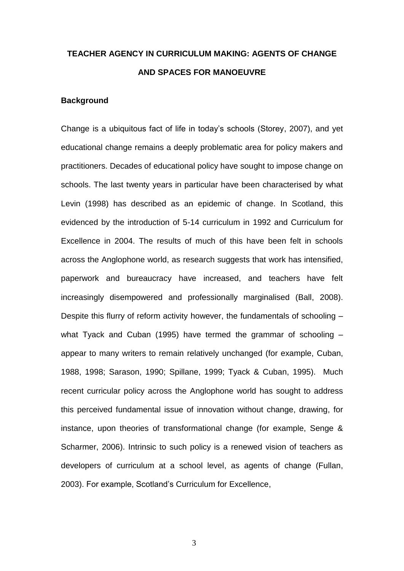# **TEACHER AGENCY IN CURRICULUM MAKING: AGENTS OF CHANGE AND SPACES FOR MANOEUVRE**

### **Background**

Change is a ubiquitous fact of life in today's schools (Storey, 2007), and yet educational change remains a deeply problematic area for policy makers and practitioners. Decades of educational policy have sought to impose change on schools. The last twenty years in particular have been characterised by what Levin (1998) has described as an epidemic of change. In Scotland, this evidenced by the introduction of 5-14 curriculum in 1992 and Curriculum for Excellence in 2004. The results of much of this have been felt in schools across the Anglophone world, as research suggests that work has intensified, paperwork and bureaucracy have increased, and teachers have felt increasingly disempowered and professionally marginalised (Ball, 2008). Despite this flurry of reform activity however, the fundamentals of schooling – what Tyack and Cuban (1995) have termed the grammar of schooling – appear to many writers to remain relatively unchanged (for example, Cuban, 1988, 1998; Sarason, 1990; Spillane, 1999; Tyack & Cuban, 1995). Much recent curricular policy across the Anglophone world has sought to address this perceived fundamental issue of innovation without change, drawing, for instance, upon theories of transformational change (for example, Senge & Scharmer, 2006). Intrinsic to such policy is a renewed vision of teachers as developers of curriculum at a school level, as agents of change (Fullan, 2003). For example, Scotland's Curriculum for Excellence,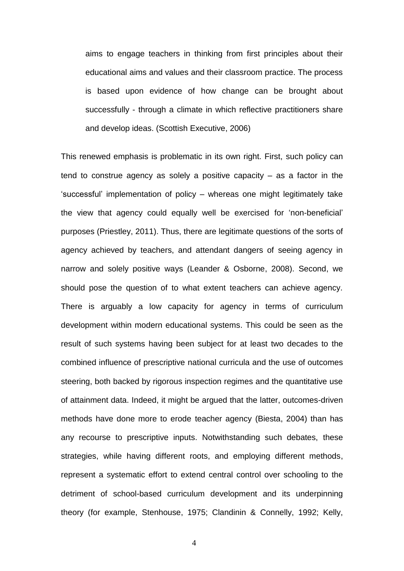aims to engage teachers in thinking from first principles about their educational aims and values and their classroom practice. The process is based upon evidence of how change can be brought about successfully - through a climate in which reflective practitioners share and develop ideas. (Scottish Executive, 2006)

This renewed emphasis is problematic in its own right. First, such policy can tend to construe agency as solely a positive capacity – as a factor in the 'successful' implementation of policy – whereas one might legitimately take the view that agency could equally well be exercised for 'non-beneficial' purposes (Priestley, 2011). Thus, there are legitimate questions of the sorts of agency achieved by teachers, and attendant dangers of seeing agency in narrow and solely positive ways (Leander & Osborne, 2008). Second, we should pose the question of to what extent teachers can achieve agency. There is arguably a low capacity for agency in terms of curriculum development within modern educational systems. This could be seen as the result of such systems having been subject for at least two decades to the combined influence of prescriptive national curricula and the use of outcomes steering, both backed by rigorous inspection regimes and the quantitative use of attainment data. Indeed, it might be argued that the latter, outcomes-driven methods have done more to erode teacher agency (Biesta, 2004) than has any recourse to prescriptive inputs. Notwithstanding such debates, these strategies, while having different roots, and employing different methods, represent a systematic effort to extend central control over schooling to the detriment of school-based curriculum development and its underpinning theory (for example, Stenhouse, 1975; Clandinin & Connelly, 1992; Kelly,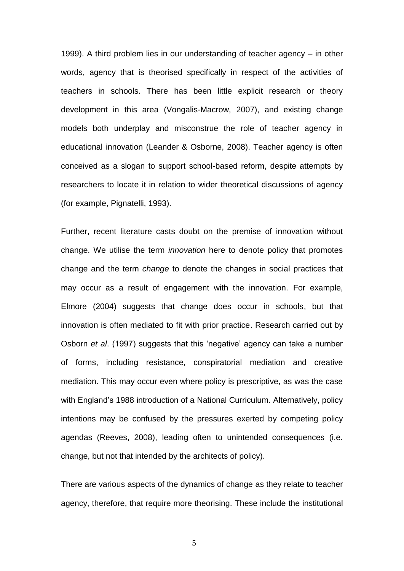1999). A third problem lies in our understanding of teacher agency – in other words, agency that is theorised specifically in respect of the activities of teachers in schools. There has been little explicit research or theory development in this area (Vongalis-Macrow, 2007), and existing change models both underplay and misconstrue the role of teacher agency in educational innovation (Leander & Osborne, 2008). Teacher agency is often conceived as a slogan to support school-based reform, despite attempts by researchers to locate it in relation to wider theoretical discussions of agency (for example, Pignatelli, 1993).

Further, recent literature casts doubt on the premise of innovation without change. We utilise the term *innovation* here to denote policy that promotes change and the term *change* to denote the changes in social practices that may occur as a result of engagement with the innovation. For example, Elmore (2004) suggests that change does occur in schools, but that innovation is often mediated to fit with prior practice. Research carried out by Osborn *et al*. (1997) suggests that this 'negative' agency can take a number of forms, including resistance, conspiratorial mediation and creative mediation. This may occur even where policy is prescriptive, as was the case with England's 1988 introduction of a National Curriculum. Alternatively, policy intentions may be confused by the pressures exerted by competing policy agendas (Reeves, 2008), leading often to unintended consequences (i.e. change, but not that intended by the architects of policy).

There are various aspects of the dynamics of change as they relate to teacher agency, therefore, that require more theorising. These include the institutional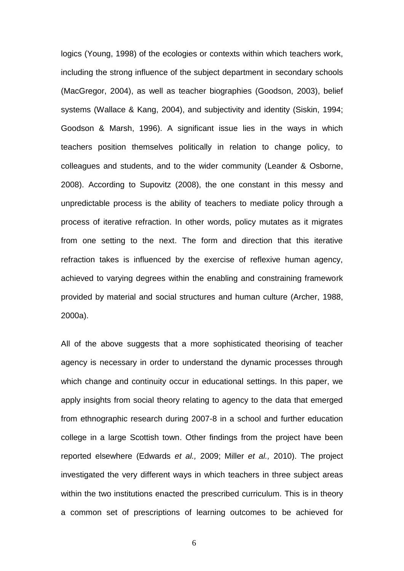logics (Young, 1998) of the ecologies or contexts within which teachers work, including the strong influence of the subject department in secondary schools (MacGregor, 2004), as well as teacher biographies (Goodson, 2003), belief systems (Wallace & Kang, 2004), and subjectivity and identity (Siskin, 1994; Goodson & Marsh, 1996). A significant issue lies in the ways in which teachers position themselves politically in relation to change policy, to colleagues and students, and to the wider community (Leander & Osborne, 2008). According to Supovitz (2008), the one constant in this messy and unpredictable process is the ability of teachers to mediate policy through a process of iterative refraction. In other words, policy mutates as it migrates from one setting to the next. The form and direction that this iterative refraction takes is influenced by the exercise of reflexive human agency, achieved to varying degrees within the enabling and constraining framework provided by material and social structures and human culture (Archer, 1988, 2000a).

All of the above suggests that a more sophisticated theorising of teacher agency is necessary in order to understand the dynamic processes through which change and continuity occur in educational settings. In this paper, we apply insights from social theory relating to agency to the data that emerged from ethnographic research during 2007-8 in a school and further education college in a large Scottish town. Other findings from the project have been reported elsewhere (Edwards *et al.,* 2009; Miller *et al.,* 2010). The project investigated the very different ways in which teachers in three subject areas within the two institutions enacted the prescribed curriculum. This is in theory a common set of prescriptions of learning outcomes to be achieved for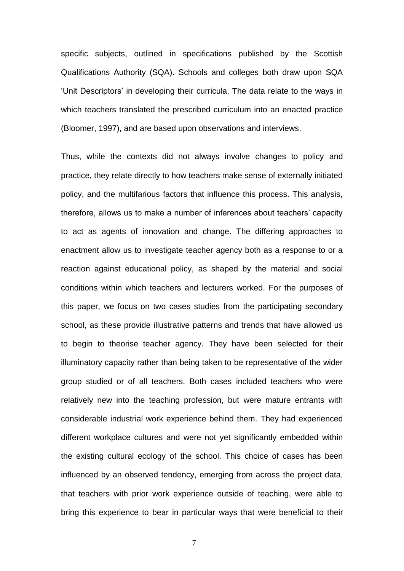specific subjects, outlined in specifications published by the Scottish Qualifications Authority (SQA). Schools and colleges both draw upon SQA 'Unit Descriptors' in developing their curricula. The data relate to the ways in which teachers translated the prescribed curriculum into an enacted practice (Bloomer, 1997), and are based upon observations and interviews.

Thus, while the contexts did not always involve changes to policy and practice, they relate directly to how teachers make sense of externally initiated policy, and the multifarious factors that influence this process. This analysis, therefore, allows us to make a number of inferences about teachers' capacity to act as agents of innovation and change. The differing approaches to enactment allow us to investigate teacher agency both as a response to or a reaction against educational policy, as shaped by the material and social conditions within which teachers and lecturers worked. For the purposes of this paper, we focus on two cases studies from the participating secondary school, as these provide illustrative patterns and trends that have allowed us to begin to theorise teacher agency. They have been selected for their illuminatory capacity rather than being taken to be representative of the wider group studied or of all teachers. Both cases included teachers who were relatively new into the teaching profession, but were mature entrants with considerable industrial work experience behind them. They had experienced different workplace cultures and were not yet significantly embedded within the existing cultural ecology of the school. This choice of cases has been influenced by an observed tendency, emerging from across the project data, that teachers with prior work experience outside of teaching, were able to bring this experience to bear in particular ways that were beneficial to their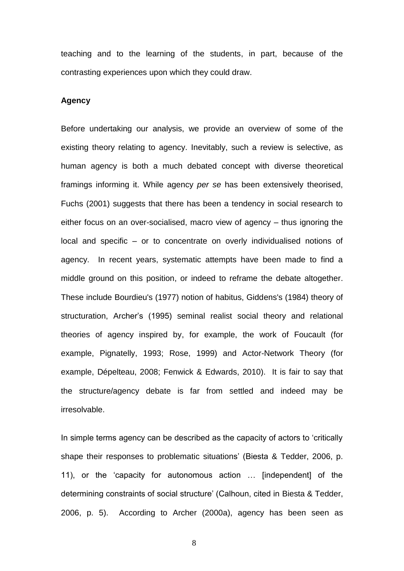teaching and to the learning of the students, in part, because of the contrasting experiences upon which they could draw.

#### **Agency**

Before undertaking our analysis, we provide an overview of some of the existing theory relating to agency. Inevitably, such a review is selective, as human agency is both a much debated concept with diverse theoretical framings informing it. While agency *per se* has been extensively theorised, Fuchs (2001) suggests that there has been a tendency in social research to either focus on an over-socialised, macro view of agency – thus ignoring the local and specific – or to concentrate on overly individualised notions of agency. In recent years, systematic attempts have been made to find a middle ground on this position, or indeed to reframe the debate altogether. These include Bourdieu's (1977) notion of habitus, Giddens's (1984) theory of structuration, Archer's (1995) seminal realist social theory and relational theories of agency inspired by, for example, the work of Foucault (for example, Pignatelly, 1993; Rose, 1999) and Actor-Network Theory (for example, Dépelteau, 2008; Fenwick & Edwards, 2010). It is fair to say that the structure/agency debate is far from settled and indeed may be irresolvable.

In simple terms agency can be described as the capacity of actors to 'critically shape their responses to problematic situations' (Biesta & Tedder, 2006, p. 11), or the 'capacity for autonomous action … [independent] of the determining constraints of social structure' (Calhoun, cited in Biesta & Tedder, 2006, p. 5). According to Archer (2000a), agency has been seen as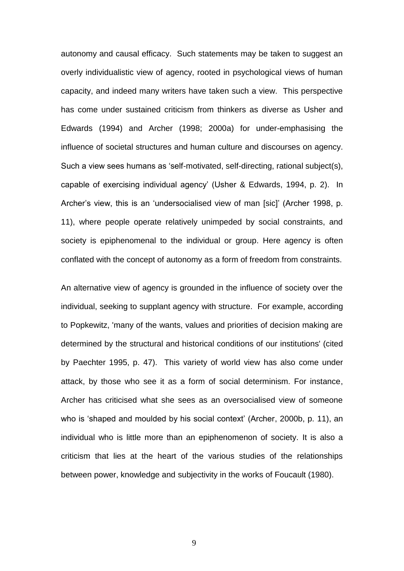autonomy and causal efficacy. Such statements may be taken to suggest an overly individualistic view of agency, rooted in psychological views of human capacity, and indeed many writers have taken such a view. This perspective has come under sustained criticism from thinkers as diverse as Usher and Edwards (1994) and Archer (1998; 2000a) for under-emphasising the influence of societal structures and human culture and discourses on agency. Such a view sees humans as 'self-motivated, self-directing, rational subject(s), capable of exercising individual agency' (Usher & Edwards, 1994, p. 2). In Archer's view, this is an 'undersocialised view of man [sic]' (Archer 1998, p. 11), where people operate relatively unimpeded by social constraints, and society is epiphenomenal to the individual or group. Here agency is often conflated with the concept of autonomy as a form of freedom from constraints.

An alternative view of agency is grounded in the influence of society over the individual, seeking to supplant agency with structure. For example, according to Popkewitz, 'many of the wants, values and priorities of decision making are determined by the structural and historical conditions of our institutions' (cited by Paechter 1995, p. 47). This variety of world view has also come under attack, by those who see it as a form of social determinism. For instance, Archer has criticised what she sees as an oversocialised view of someone who is 'shaped and moulded by his social context' (Archer, 2000b, p. 11), an individual who is little more than an epiphenomenon of society. It is also a criticism that lies at the heart of the various studies of the relationships between power, knowledge and subjectivity in the works of Foucault (1980).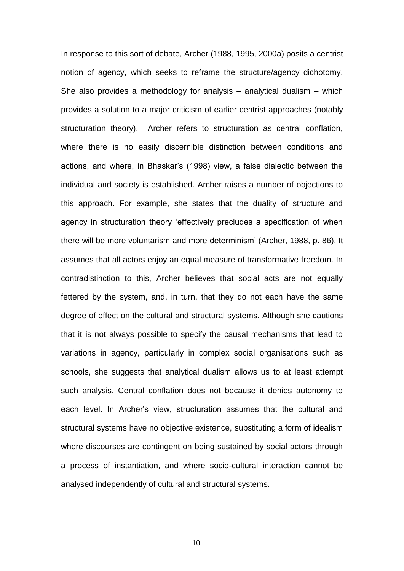In response to this sort of debate, Archer (1988, 1995, 2000a) posits a centrist notion of agency, which seeks to reframe the structure/agency dichotomy. She also provides a methodology for analysis – analytical dualism – which provides a solution to a major criticism of earlier centrist approaches (notably structuration theory). Archer refers to structuration as central conflation, where there is no easily discernible distinction between conditions and actions, and where, in Bhaskar's (1998) view, a false dialectic between the individual and society is established. Archer raises a number of objections to this approach. For example, she states that the duality of structure and agency in structuration theory 'effectively precludes a specification of when there will be more voluntarism and more determinism' (Archer, 1988, p. 86). It assumes that all actors enjoy an equal measure of transformative freedom. In contradistinction to this, Archer believes that social acts are not equally fettered by the system, and, in turn, that they do not each have the same degree of effect on the cultural and structural systems. Although she cautions that it is not always possible to specify the causal mechanisms that lead to variations in agency, particularly in complex social organisations such as schools, she suggests that analytical dualism allows us to at least attempt such analysis. Central conflation does not because it denies autonomy to each level. In Archer's view, structuration assumes that the cultural and structural systems have no objective existence, substituting a form of idealism where discourses are contingent on being sustained by social actors through a process of instantiation, and where socio-cultural interaction cannot be analysed independently of cultural and structural systems.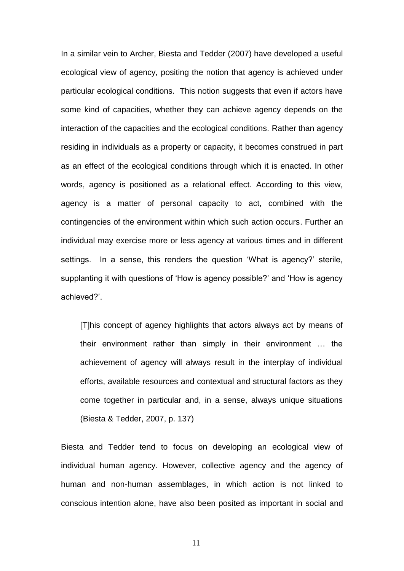In a similar vein to Archer, Biesta and Tedder (2007) have developed a useful ecological view of agency, positing the notion that agency is achieved under particular ecological conditions. This notion suggests that even if actors have some kind of capacities, whether they can achieve agency depends on the interaction of the capacities and the ecological conditions. Rather than agency residing in individuals as a property or capacity, it becomes construed in part as an effect of the ecological conditions through which it is enacted. In other words, agency is positioned as a relational effect. According to this view, agency is a matter of personal capacity to act, combined with the contingencies of the environment within which such action occurs. Further an individual may exercise more or less agency at various times and in different settings. In a sense, this renders the question 'What is agency?' sterile, supplanting it with questions of 'How is agency possible?' and 'How is agency achieved?'.

[T]his concept of agency highlights that actors always act by means of their environment rather than simply in their environment … the achievement of agency will always result in the interplay of individual efforts, available resources and contextual and structural factors as they come together in particular and, in a sense, always unique situations (Biesta & Tedder, 2007, p. 137)

Biesta and Tedder tend to focus on developing an ecological view of individual human agency. However, collective agency and the agency of human and non-human assemblages, in which action is not linked to conscious intention alone, have also been posited as important in social and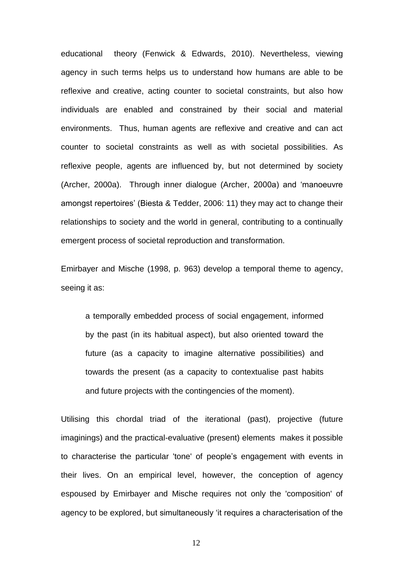educational theory (Fenwick & Edwards, 2010). Nevertheless, viewing agency in such terms helps us to understand how humans are able to be reflexive and creative, acting counter to societal constraints, but also how individuals are enabled and constrained by their social and material environments. Thus, human agents are reflexive and creative and can act counter to societal constraints as well as with societal possibilities. As reflexive people, agents are influenced by, but not determined by society (Archer, 2000a). Through inner dialogue (Archer, 2000a) and 'manoeuvre amongst repertoires' (Biesta & Tedder, 2006: 11) they may act to change their relationships to society and the world in general, contributing to a continually emergent process of societal reproduction and transformation.

Emirbayer and Mische (1998, p. 963) develop a temporal theme to agency, seeing it as:

a temporally embedded process of social engagement, informed by the past (in its habitual aspect), but also oriented toward the future (as a capacity to imagine alternative possibilities) and towards the present (as a capacity to contextualise past habits and future projects with the contingencies of the moment).

Utilising this chordal triad of the iterational (past), projective (future imaginings) and the practical-evaluative (present) elements makes it possible to characterise the particular 'tone' of people's engagement with events in their lives. On an empirical level, however, the conception of agency espoused by Emirbayer and Mische requires not only the 'composition' of agency to be explored, but simultaneously 'it requires a characterisation of the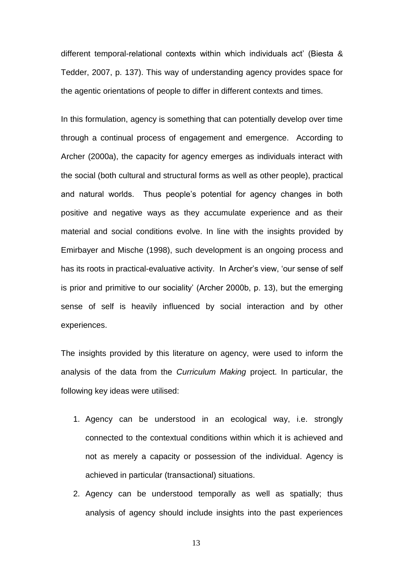different temporal-relational contexts within which individuals act' (Biesta & Tedder, 2007, p. 137). This way of understanding agency provides space for the agentic orientations of people to differ in different contexts and times.

In this formulation, agency is something that can potentially develop over time through a continual process of engagement and emergence. According to Archer (2000a), the capacity for agency emerges as individuals interact with the social (both cultural and structural forms as well as other people), practical and natural worlds. Thus people's potential for agency changes in both positive and negative ways as they accumulate experience and as their material and social conditions evolve. In line with the insights provided by Emirbayer and Mische (1998), such development is an ongoing process and has its roots in practical-evaluative activity. In Archer's view, 'our sense of self is prior and primitive to our sociality' (Archer 2000b, p. 13), but the emerging sense of self is heavily influenced by social interaction and by other experiences.

The insights provided by this literature on agency, were used to inform the analysis of the data from the *Curriculum Making* project. In particular, the following key ideas were utilised:

- 1. Agency can be understood in an ecological way, i.e. strongly connected to the contextual conditions within which it is achieved and not as merely a capacity or possession of the individual. Agency is achieved in particular (transactional) situations.
- 2. Agency can be understood temporally as well as spatially; thus analysis of agency should include insights into the past experiences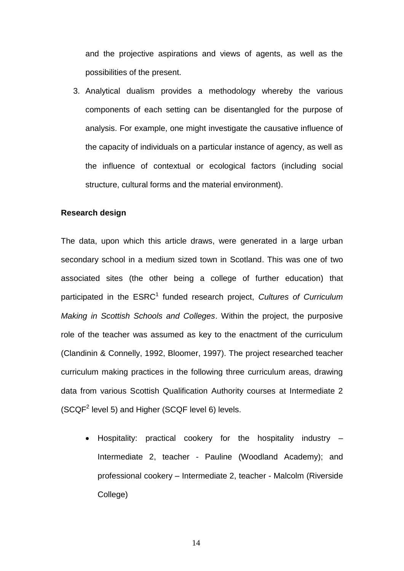and the projective aspirations and views of agents, as well as the possibilities of the present.

3. Analytical dualism provides a methodology whereby the various components of each setting can be disentangled for the purpose of analysis. For example, one might investigate the causative influence of the capacity of individuals on a particular instance of agency, as well as the influence of contextual or ecological factors (including social structure, cultural forms and the material environment).

#### **Research design**

The data, upon which this article draws, were generated in a large urban secondary school in a medium sized town in Scotland. This was one of two associated sites (the other being a college of further education) that participated in the ESRC<sup>1</sup> funded research project, *Cultures of Curriculum Making in Scottish Schools and Colleges*. Within the project, the purposive role of the teacher was assumed as key to the enactment of the curriculum (Clandinin & Connelly, 1992, Bloomer, 1997). The project researched teacher curriculum making practices in the following three curriculum areas, drawing data from various Scottish Qualification Authority courses at Intermediate 2  $(SCQF<sup>2</sup>$  level 5) and Higher (SCQF level 6) levels.

 Hospitality: practical cookery for the hospitality industry – Intermediate 2, teacher - Pauline (Woodland Academy); and professional cookery – Intermediate 2, teacher - Malcolm (Riverside College)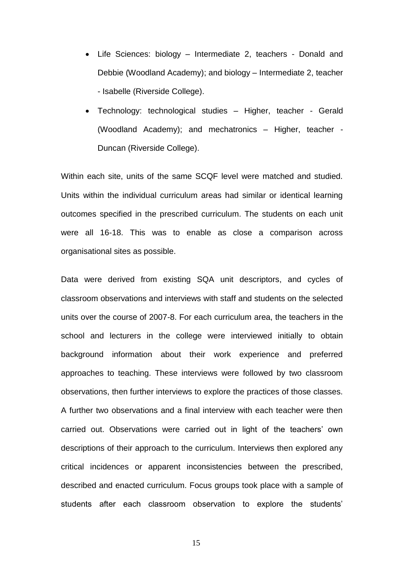- Life Sciences: biology Intermediate 2, teachers Donald and Debbie (Woodland Academy); and biology – Intermediate 2, teacher - Isabelle (Riverside College).
- Technology: technological studies Higher, teacher Gerald (Woodland Academy); and mechatronics – Higher, teacher - Duncan (Riverside College).

Within each site, units of the same SCQF level were matched and studied. Units within the individual curriculum areas had similar or identical learning outcomes specified in the prescribed curriculum. The students on each unit were all 16-18. This was to enable as close a comparison across organisational sites as possible.

Data were derived from existing SQA unit descriptors, and cycles of classroom observations and interviews with staff and students on the selected units over the course of 2007-8. For each curriculum area, the teachers in the school and lecturers in the college were interviewed initially to obtain background information about their work experience and preferred approaches to teaching. These interviews were followed by two classroom observations, then further interviews to explore the practices of those classes. A further two observations and a final interview with each teacher were then carried out. Observations were carried out in light of the teachers' own descriptions of their approach to the curriculum. Interviews then explored any critical incidences or apparent inconsistencies between the prescribed, described and enacted curriculum. Focus groups took place with a sample of students after each classroom observation to explore the students'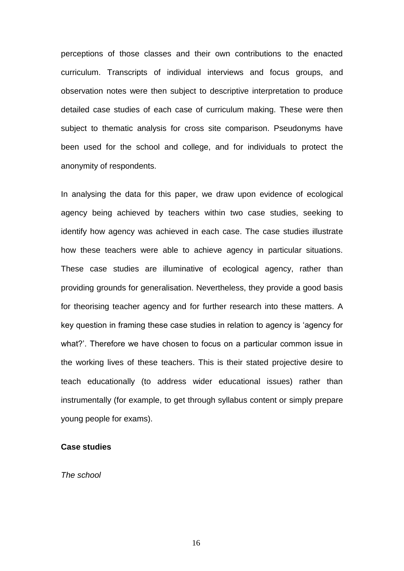perceptions of those classes and their own contributions to the enacted curriculum. Transcripts of individual interviews and focus groups, and observation notes were then subject to descriptive interpretation to produce detailed case studies of each case of curriculum making. These were then subject to thematic analysis for cross site comparison. Pseudonyms have been used for the school and college, and for individuals to protect the anonymity of respondents.

In analysing the data for this paper, we draw upon evidence of ecological agency being achieved by teachers within two case studies, seeking to identify how agency was achieved in each case. The case studies illustrate how these teachers were able to achieve agency in particular situations. These case studies are illuminative of ecological agency, rather than providing grounds for generalisation. Nevertheless, they provide a good basis for theorising teacher agency and for further research into these matters. A key question in framing these case studies in relation to agency is 'agency for what?'. Therefore we have chosen to focus on a particular common issue in the working lives of these teachers. This is their stated projective desire to teach educationally (to address wider educational issues) rather than instrumentally (for example, to get through syllabus content or simply prepare young people for exams).

### **Case studies**

*The school*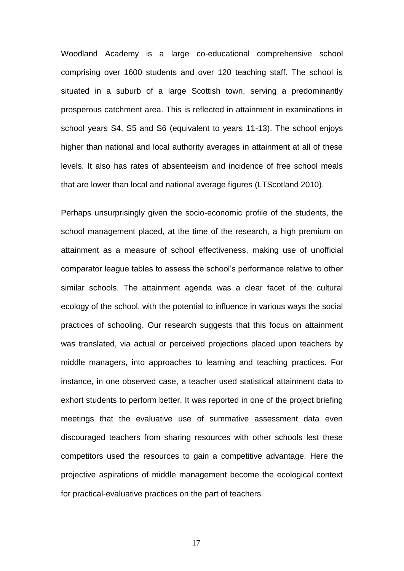Woodland Academy is a large co-educational comprehensive school comprising over 1600 students and over 120 teaching staff. The school is situated in a suburb of a large Scottish town, serving a predominantly prosperous catchment area. This is reflected in attainment in examinations in school years S4, S5 and S6 (equivalent to years 11-13). The school enjoys higher than national and local authority averages in attainment at all of these levels. It also has rates of absenteeism and incidence of free school meals that are lower than local and national average figures (LTScotland 2010).

Perhaps unsurprisingly given the socio-economic profile of the students, the school management placed, at the time of the research, a high premium on attainment as a measure of school effectiveness, making use of unofficial comparator league tables to assess the school's performance relative to other similar schools. The attainment agenda was a clear facet of the cultural ecology of the school, with the potential to influence in various ways the social practices of schooling. Our research suggests that this focus on attainment was translated, via actual or perceived projections placed upon teachers by middle managers, into approaches to learning and teaching practices. For instance, in one observed case, a teacher used statistical attainment data to exhort students to perform better. It was reported in one of the project briefing meetings that the evaluative use of summative assessment data even discouraged teachers from sharing resources with other schools lest these competitors used the resources to gain a competitive advantage. Here the projective aspirations of middle management become the ecological context for practical-evaluative practices on the part of teachers.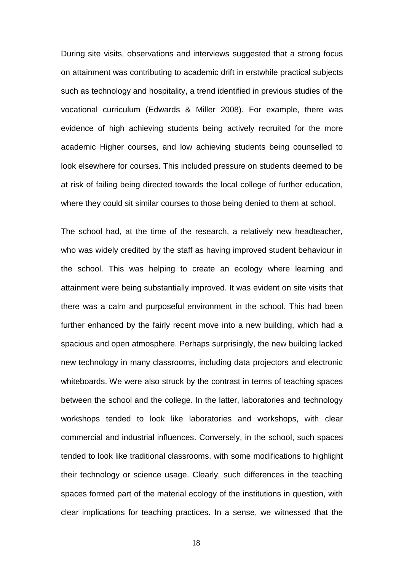During site visits, observations and interviews suggested that a strong focus on attainment was contributing to academic drift in erstwhile practical subjects such as technology and hospitality, a trend identified in previous studies of the vocational curriculum (Edwards & Miller 2008). For example, there was evidence of high achieving students being actively recruited for the more academic Higher courses, and low achieving students being counselled to look elsewhere for courses. This included pressure on students deemed to be at risk of failing being directed towards the local college of further education, where they could sit similar courses to those being denied to them at school.

The school had, at the time of the research, a relatively new headteacher, who was widely credited by the staff as having improved student behaviour in the school. This was helping to create an ecology where learning and attainment were being substantially improved. It was evident on site visits that there was a calm and purposeful environment in the school. This had been further enhanced by the fairly recent move into a new building, which had a spacious and open atmosphere. Perhaps surprisingly, the new building lacked new technology in many classrooms, including data projectors and electronic whiteboards. We were also struck by the contrast in terms of teaching spaces between the school and the college. In the latter, laboratories and technology workshops tended to look like laboratories and workshops, with clear commercial and industrial influences. Conversely, in the school, such spaces tended to look like traditional classrooms, with some modifications to highlight their technology or science usage. Clearly, such differences in the teaching spaces formed part of the material ecology of the institutions in question, with clear implications for teaching practices. In a sense, we witnessed that the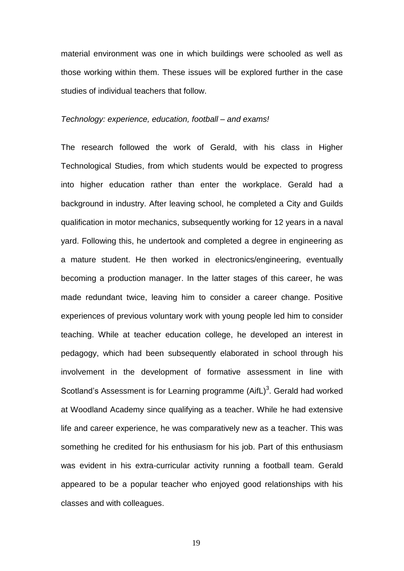material environment was one in which buildings were schooled as well as those working within them. These issues will be explored further in the case studies of individual teachers that follow.

#### *Technology: experience, education, football – and exams!*

The research followed the work of Gerald, with his class in Higher Technological Studies, from which students would be expected to progress into higher education rather than enter the workplace. Gerald had a background in industry. After leaving school, he completed a City and Guilds qualification in motor mechanics, subsequently working for 12 years in a naval yard. Following this, he undertook and completed a degree in engineering as a mature student. He then worked in electronics/engineering, eventually becoming a production manager. In the latter stages of this career, he was made redundant twice, leaving him to consider a career change. Positive experiences of previous voluntary work with young people led him to consider teaching. While at teacher education college, he developed an interest in pedagogy, which had been subsequently elaborated in school through his involvement in the development of formative assessment in line with Scotland's Assessment is for Learning programme  $(AifL)^3$ . Gerald had worked at Woodland Academy since qualifying as a teacher. While he had extensive life and career experience, he was comparatively new as a teacher. This was something he credited for his enthusiasm for his job. Part of this enthusiasm was evident in his extra-curricular activity running a football team. Gerald appeared to be a popular teacher who enjoyed good relationships with his classes and with colleagues.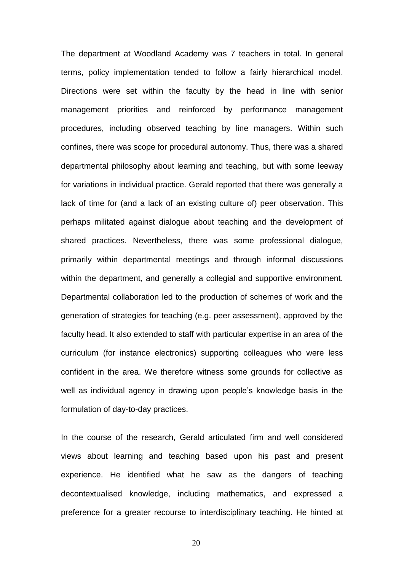The department at Woodland Academy was 7 teachers in total. In general terms, policy implementation tended to follow a fairly hierarchical model. Directions were set within the faculty by the head in line with senior management priorities and reinforced by performance management procedures, including observed teaching by line managers. Within such confines, there was scope for procedural autonomy. Thus, there was a shared departmental philosophy about learning and teaching, but with some leeway for variations in individual practice. Gerald reported that there was generally a lack of time for (and a lack of an existing culture of) peer observation. This perhaps militated against dialogue about teaching and the development of shared practices. Nevertheless, there was some professional dialogue, primarily within departmental meetings and through informal discussions within the department, and generally a collegial and supportive environment. Departmental collaboration led to the production of schemes of work and the generation of strategies for teaching (e.g. peer assessment), approved by the faculty head. It also extended to staff with particular expertise in an area of the curriculum (for instance electronics) supporting colleagues who were less confident in the area. We therefore witness some grounds for collective as well as individual agency in drawing upon people's knowledge basis in the formulation of day-to-day practices.

In the course of the research, Gerald articulated firm and well considered views about learning and teaching based upon his past and present experience. He identified what he saw as the dangers of teaching decontextualised knowledge, including mathematics, and expressed a preference for a greater recourse to interdisciplinary teaching. He hinted at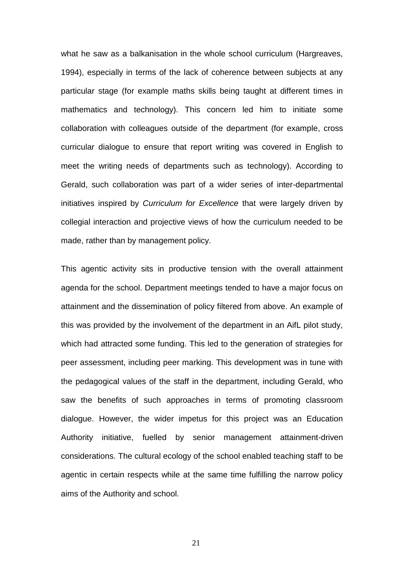what he saw as a balkanisation in the whole school curriculum (Hargreaves, 1994), especially in terms of the lack of coherence between subjects at any particular stage (for example maths skills being taught at different times in mathematics and technology). This concern led him to initiate some collaboration with colleagues outside of the department (for example, cross curricular dialogue to ensure that report writing was covered in English to meet the writing needs of departments such as technology). According to Gerald, such collaboration was part of a wider series of inter-departmental initiatives inspired by *Curriculum for Excellence* that were largely driven by collegial interaction and projective views of how the curriculum needed to be made, rather than by management policy.

This agentic activity sits in productive tension with the overall attainment agenda for the school. Department meetings tended to have a major focus on attainment and the dissemination of policy filtered from above. An example of this was provided by the involvement of the department in an AifL pilot study, which had attracted some funding. This led to the generation of strategies for peer assessment, including peer marking. This development was in tune with the pedagogical values of the staff in the department, including Gerald, who saw the benefits of such approaches in terms of promoting classroom dialogue. However, the wider impetus for this project was an Education Authority initiative, fuelled by senior management attainment-driven considerations. The cultural ecology of the school enabled teaching staff to be agentic in certain respects while at the same time fulfilling the narrow policy aims of the Authority and school.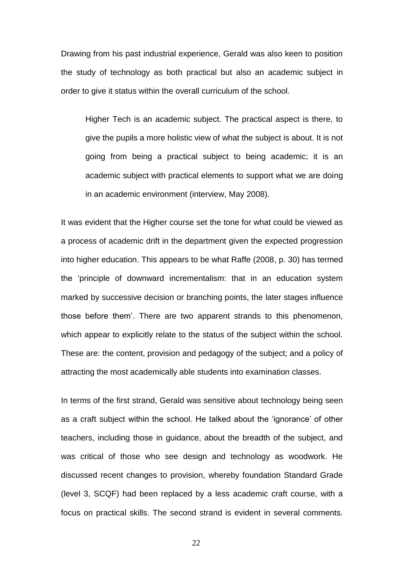Drawing from his past industrial experience, Gerald was also keen to position the study of technology as both practical but also an academic subject in order to give it status within the overall curriculum of the school.

Higher Tech is an academic subject. The practical aspect is there, to give the pupils a more holistic view of what the subject is about. It is not going from being a practical subject to being academic; it is an academic subject with practical elements to support what we are doing in an academic environment (interview, May 2008).

It was evident that the Higher course set the tone for what could be viewed as a process of academic drift in the department given the expected progression into higher education. This appears to be what Raffe (2008, p. 30) has termed the 'principle of downward incrementalism: that in an education system marked by successive decision or branching points, the later stages influence those before them'. There are two apparent strands to this phenomenon, which appear to explicitly relate to the status of the subject within the school. These are: the content, provision and pedagogy of the subject; and a policy of attracting the most academically able students into examination classes.

In terms of the first strand, Gerald was sensitive about technology being seen as a craft subject within the school. He talked about the 'ignorance' of other teachers, including those in guidance, about the breadth of the subject, and was critical of those who see design and technology as woodwork. He discussed recent changes to provision, whereby foundation Standard Grade (level 3, SCQF) had been replaced by a less academic craft course, with a focus on practical skills. The second strand is evident in several comments.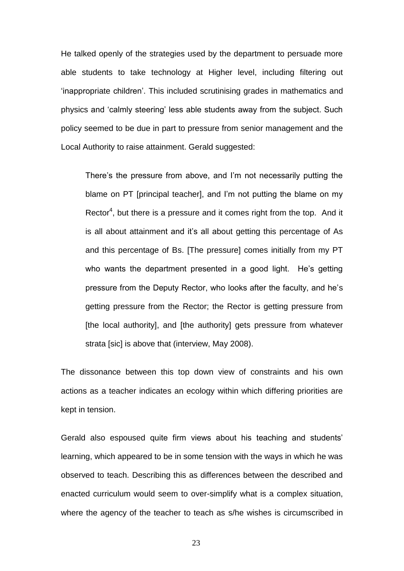He talked openly of the strategies used by the department to persuade more able students to take technology at Higher level, including filtering out 'inappropriate children'. This included scrutinising grades in mathematics and physics and 'calmly steering' less able students away from the subject. Such policy seemed to be due in part to pressure from senior management and the Local Authority to raise attainment. Gerald suggested:

There's the pressure from above, and I'm not necessarily putting the blame on PT [principal teacher], and I'm not putting the blame on my Rector<sup>4</sup>, but there is a pressure and it comes right from the top. And it is all about attainment and it's all about getting this percentage of As and this percentage of Bs. [The pressure] comes initially from my PT who wants the department presented in a good light. He's getting pressure from the Deputy Rector, who looks after the faculty, and he's getting pressure from the Rector; the Rector is getting pressure from [the local authority], and [the authority] gets pressure from whatever strata [sic] is above that (interview, May 2008).

The dissonance between this top down view of constraints and his own actions as a teacher indicates an ecology within which differing priorities are kept in tension.

Gerald also espoused quite firm views about his teaching and students' learning, which appeared to be in some tension with the ways in which he was observed to teach. Describing this as differences between the described and enacted curriculum would seem to over-simplify what is a complex situation, where the agency of the teacher to teach as s/he wishes is circumscribed in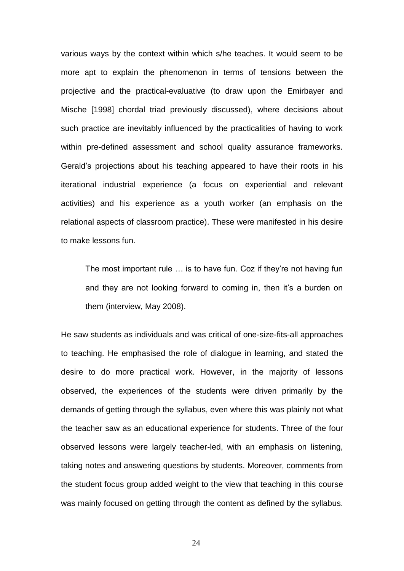various ways by the context within which s/he teaches. It would seem to be more apt to explain the phenomenon in terms of tensions between the projective and the practical-evaluative (to draw upon the Emirbayer and Mische [1998] chordal triad previously discussed), where decisions about such practice are inevitably influenced by the practicalities of having to work within pre-defined assessment and school quality assurance frameworks. Gerald's projections about his teaching appeared to have their roots in his iterational industrial experience (a focus on experiential and relevant activities) and his experience as a youth worker (an emphasis on the relational aspects of classroom practice). These were manifested in his desire to make lessons fun.

The most important rule … is to have fun. Coz if they're not having fun and they are not looking forward to coming in, then it's a burden on them (interview, May 2008).

He saw students as individuals and was critical of one-size-fits-all approaches to teaching. He emphasised the role of dialogue in learning, and stated the desire to do more practical work. However, in the majority of lessons observed, the experiences of the students were driven primarily by the demands of getting through the syllabus, even where this was plainly not what the teacher saw as an educational experience for students. Three of the four observed lessons were largely teacher-led, with an emphasis on listening, taking notes and answering questions by students. Moreover, comments from the student focus group added weight to the view that teaching in this course was mainly focused on getting through the content as defined by the syllabus.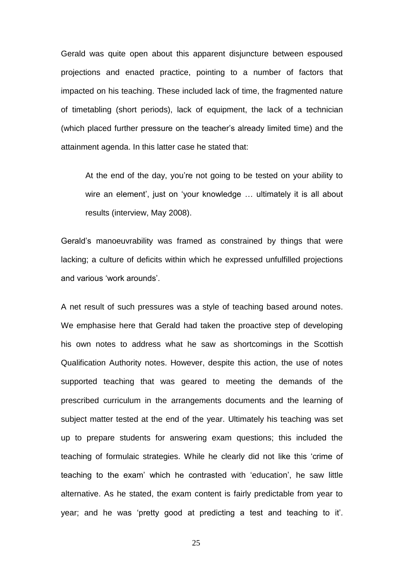Gerald was quite open about this apparent disjuncture between espoused projections and enacted practice, pointing to a number of factors that impacted on his teaching. These included lack of time, the fragmented nature of timetabling (short periods), lack of equipment, the lack of a technician (which placed further pressure on the teacher's already limited time) and the attainment agenda. In this latter case he stated that:

At the end of the day, you're not going to be tested on your ability to wire an element', just on 'your knowledge … ultimately it is all about results (interview, May 2008).

Gerald's manoeuvrability was framed as constrained by things that were lacking; a culture of deficits within which he expressed unfulfilled projections and various 'work arounds'.

A net result of such pressures was a style of teaching based around notes. We emphasise here that Gerald had taken the proactive step of developing his own notes to address what he saw as shortcomings in the Scottish Qualification Authority notes. However, despite this action, the use of notes supported teaching that was geared to meeting the demands of the prescribed curriculum in the arrangements documents and the learning of subject matter tested at the end of the year. Ultimately his teaching was set up to prepare students for answering exam questions; this included the teaching of formulaic strategies. While he clearly did not like this 'crime of teaching to the exam' which he contrasted with 'education', he saw little alternative. As he stated, the exam content is fairly predictable from year to year; and he was 'pretty good at predicting a test and teaching to it'.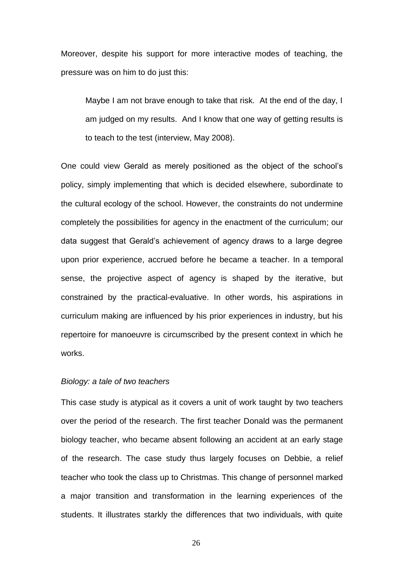Moreover, despite his support for more interactive modes of teaching, the pressure was on him to do just this:

Maybe I am not brave enough to take that risk. At the end of the day, I am judged on my results. And I know that one way of getting results is to teach to the test (interview, May 2008).

One could view Gerald as merely positioned as the object of the school's policy, simply implementing that which is decided elsewhere, subordinate to the cultural ecology of the school. However, the constraints do not undermine completely the possibilities for agency in the enactment of the curriculum; our data suggest that Gerald's achievement of agency draws to a large degree upon prior experience, accrued before he became a teacher. In a temporal sense, the projective aspect of agency is shaped by the iterative, but constrained by the practical-evaluative. In other words, his aspirations in curriculum making are influenced by his prior experiences in industry, but his repertoire for manoeuvre is circumscribed by the present context in which he works.

#### *Biology: a tale of two teachers*

This case study is atypical as it covers a unit of work taught by two teachers over the period of the research. The first teacher Donald was the permanent biology teacher, who became absent following an accident at an early stage of the research. The case study thus largely focuses on Debbie, a relief teacher who took the class up to Christmas. This change of personnel marked a major transition and transformation in the learning experiences of the students. It illustrates starkly the differences that two individuals, with quite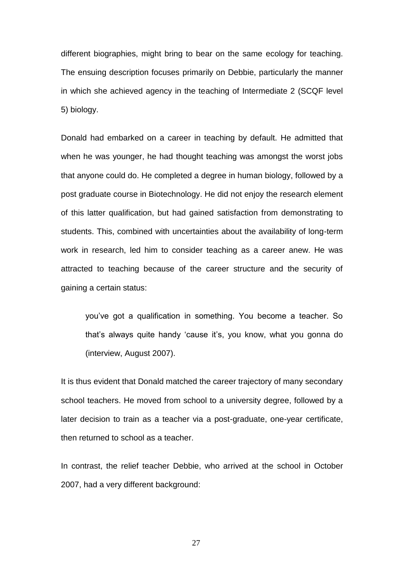different biographies, might bring to bear on the same ecology for teaching. The ensuing description focuses primarily on Debbie, particularly the manner in which she achieved agency in the teaching of Intermediate 2 (SCQF level 5) biology.

Donald had embarked on a career in teaching by default. He admitted that when he was younger, he had thought teaching was amongst the worst jobs that anyone could do. He completed a degree in human biology, followed by a post graduate course in Biotechnology. He did not enjoy the research element of this latter qualification, but had gained satisfaction from demonstrating to students. This, combined with uncertainties about the availability of long-term work in research, led him to consider teaching as a career anew. He was attracted to teaching because of the career structure and the security of gaining a certain status:

you've got a qualification in something. You become a teacher. So that's always quite handy 'cause it's, you know, what you gonna do (interview, August 2007).

It is thus evident that Donald matched the career trajectory of many secondary school teachers. He moved from school to a university degree, followed by a later decision to train as a teacher via a post-graduate, one-year certificate, then returned to school as a teacher.

In contrast, the relief teacher Debbie, who arrived at the school in October 2007, had a very different background: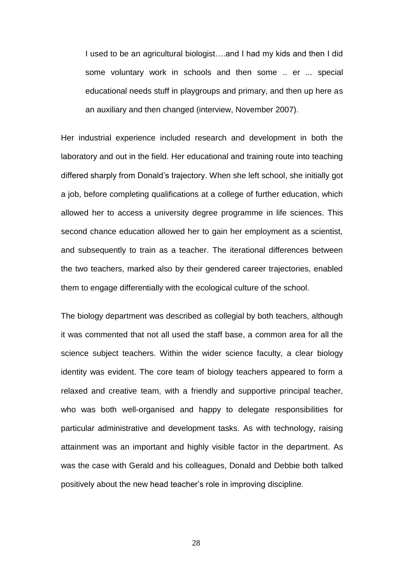I used to be an agricultural biologist….and I had my kids and then I did some voluntary work in schools and then some .. er ... special educational needs stuff in playgroups and primary, and then up here as an auxiliary and then changed (interview, November 2007).

Her industrial experience included research and development in both the laboratory and out in the field. Her educational and training route into teaching differed sharply from Donald's trajectory. When she left school, she initially got a job, before completing qualifications at a college of further education, which allowed her to access a university degree programme in life sciences. This second chance education allowed her to gain her employment as a scientist, and subsequently to train as a teacher. The iterational differences between the two teachers, marked also by their gendered career trajectories, enabled them to engage differentially with the ecological culture of the school.

The biology department was described as collegial by both teachers, although it was commented that not all used the staff base, a common area for all the science subject teachers. Within the wider science faculty, a clear biology identity was evident. The core team of biology teachers appeared to form a relaxed and creative team, with a friendly and supportive principal teacher, who was both well-organised and happy to delegate responsibilities for particular administrative and development tasks. As with technology, raising attainment was an important and highly visible factor in the department. As was the case with Gerald and his colleagues, Donald and Debbie both talked positively about the new head teacher's role in improving discipline.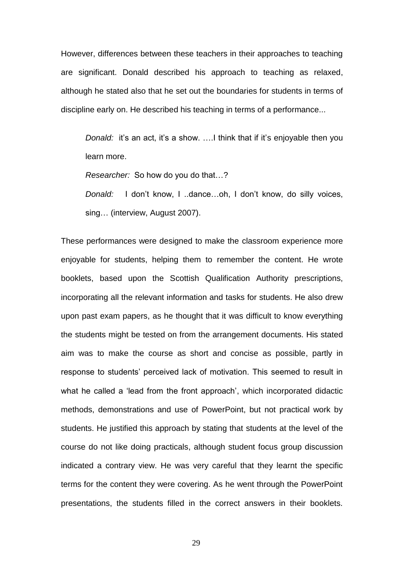However, differences between these teachers in their approaches to teaching are significant. Donald described his approach to teaching as relaxed, although he stated also that he set out the boundaries for students in terms of discipline early on. He described his teaching in terms of a performance...

*Donald:* it's an act, it's a show. ….I think that if it's enjoyable then you learn more.

*Researcher:* So how do you do that…?

*Donald:* I don't know, I ..dance…oh, I don't know, do silly voices, sing… (interview, August 2007).

These performances were designed to make the classroom experience more enjoyable for students, helping them to remember the content. He wrote booklets, based upon the Scottish Qualification Authority prescriptions, incorporating all the relevant information and tasks for students. He also drew upon past exam papers, as he thought that it was difficult to know everything the students might be tested on from the arrangement documents. His stated aim was to make the course as short and concise as possible, partly in response to students' perceived lack of motivation. This seemed to result in what he called a 'lead from the front approach', which incorporated didactic methods, demonstrations and use of PowerPoint, but not practical work by students. He justified this approach by stating that students at the level of the course do not like doing practicals, although student focus group discussion indicated a contrary view. He was very careful that they learnt the specific terms for the content they were covering. As he went through the PowerPoint presentations, the students filled in the correct answers in their booklets.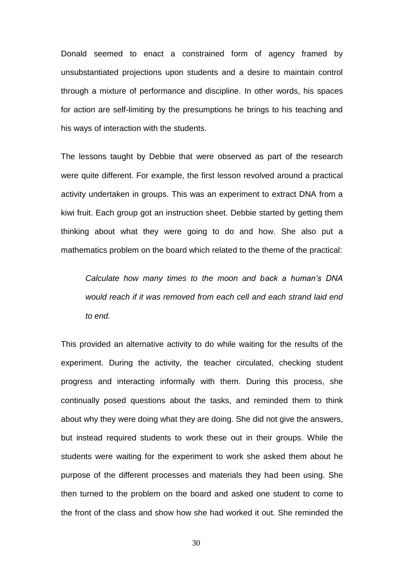Donald seemed to enact a constrained form of agency framed by unsubstantiated projections upon students and a desire to maintain control through a mixture of performance and discipline. In other words, his spaces for action are self-limiting by the presumptions he brings to his teaching and his ways of interaction with the students.

The lessons taught by Debbie that were observed as part of the research were quite different. For example, the first lesson revolved around a practical activity undertaken in groups. This was an experiment to extract DNA from a kiwi fruit. Each group got an instruction sheet. Debbie started by getting them thinking about what they were going to do and how. She also put a mathematics problem on the board which related to the theme of the practical:

*Calculate how many times to the moon and back a human's DNA would reach if it was removed from each cell and each strand laid end to end.*

This provided an alternative activity to do while waiting for the results of the experiment. During the activity, the teacher circulated, checking student progress and interacting informally with them. During this process, she continually posed questions about the tasks, and reminded them to think about why they were doing what they are doing. She did not give the answers, but instead required students to work these out in their groups. While the students were waiting for the experiment to work she asked them about he purpose of the different processes and materials they had been using. She then turned to the problem on the board and asked one student to come to the front of the class and show how she had worked it out. She reminded the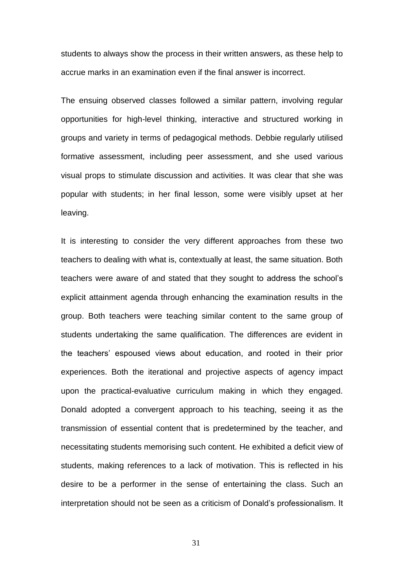students to always show the process in their written answers, as these help to accrue marks in an examination even if the final answer is incorrect.

The ensuing observed classes followed a similar pattern, involving regular opportunities for high-level thinking, interactive and structured working in groups and variety in terms of pedagogical methods. Debbie regularly utilised formative assessment, including peer assessment, and she used various visual props to stimulate discussion and activities. It was clear that she was popular with students; in her final lesson, some were visibly upset at her leaving.

It is interesting to consider the very different approaches from these two teachers to dealing with what is, contextually at least, the same situation. Both teachers were aware of and stated that they sought to address the school's explicit attainment agenda through enhancing the examination results in the group. Both teachers were teaching similar content to the same group of students undertaking the same qualification. The differences are evident in the teachers' espoused views about education, and rooted in their prior experiences. Both the iterational and projective aspects of agency impact upon the practical-evaluative curriculum making in which they engaged. Donald adopted a convergent approach to his teaching, seeing it as the transmission of essential content that is predetermined by the teacher, and necessitating students memorising such content. He exhibited a deficit view of students, making references to a lack of motivation. This is reflected in his desire to be a performer in the sense of entertaining the class. Such an interpretation should not be seen as a criticism of Donald's professionalism. It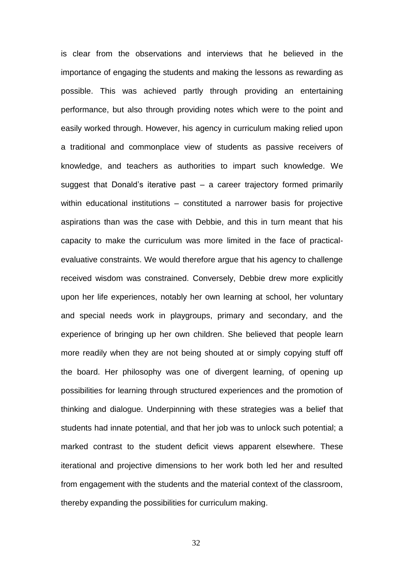is clear from the observations and interviews that he believed in the importance of engaging the students and making the lessons as rewarding as possible. This was achieved partly through providing an entertaining performance, but also through providing notes which were to the point and easily worked through. However, his agency in curriculum making relied upon a traditional and commonplace view of students as passive receivers of knowledge, and teachers as authorities to impart such knowledge. We suggest that Donald's iterative past – a career trajectory formed primarily within educational institutions – constituted a narrower basis for projective aspirations than was the case with Debbie, and this in turn meant that his capacity to make the curriculum was more limited in the face of practicalevaluative constraints. We would therefore argue that his agency to challenge received wisdom was constrained. Conversely, Debbie drew more explicitly upon her life experiences, notably her own learning at school, her voluntary and special needs work in playgroups, primary and secondary, and the experience of bringing up her own children. She believed that people learn more readily when they are not being shouted at or simply copying stuff off the board. Her philosophy was one of divergent learning, of opening up possibilities for learning through structured experiences and the promotion of thinking and dialogue. Underpinning with these strategies was a belief that students had innate potential, and that her job was to unlock such potential; a marked contrast to the student deficit views apparent elsewhere. These iterational and projective dimensions to her work both led her and resulted from engagement with the students and the material context of the classroom, thereby expanding the possibilities for curriculum making.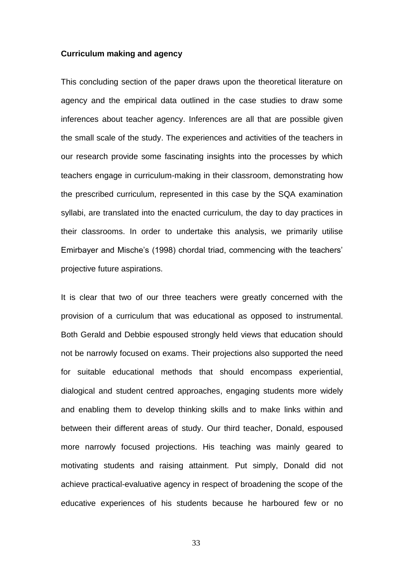#### **Curriculum making and agency**

This concluding section of the paper draws upon the theoretical literature on agency and the empirical data outlined in the case studies to draw some inferences about teacher agency. Inferences are all that are possible given the small scale of the study. The experiences and activities of the teachers in our research provide some fascinating insights into the processes by which teachers engage in curriculum-making in their classroom, demonstrating how the prescribed curriculum, represented in this case by the SQA examination syllabi, are translated into the enacted curriculum, the day to day practices in their classrooms. In order to undertake this analysis, we primarily utilise Emirbayer and Mische's (1998) chordal triad, commencing with the teachers' projective future aspirations.

It is clear that two of our three teachers were greatly concerned with the provision of a curriculum that was educational as opposed to instrumental. Both Gerald and Debbie espoused strongly held views that education should not be narrowly focused on exams. Their projections also supported the need for suitable educational methods that should encompass experiential, dialogical and student centred approaches, engaging students more widely and enabling them to develop thinking skills and to make links within and between their different areas of study. Our third teacher, Donald, espoused more narrowly focused projections. His teaching was mainly geared to motivating students and raising attainment. Put simply, Donald did not achieve practical-evaluative agency in respect of broadening the scope of the educative experiences of his students because he harboured few or no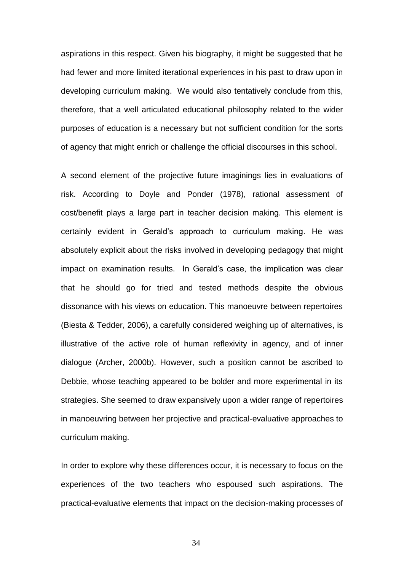aspirations in this respect. Given his biography, it might be suggested that he had fewer and more limited iterational experiences in his past to draw upon in developing curriculum making. We would also tentatively conclude from this, therefore, that a well articulated educational philosophy related to the wider purposes of education is a necessary but not sufficient condition for the sorts of agency that might enrich or challenge the official discourses in this school.

A second element of the projective future imaginings lies in evaluations of risk. According to Doyle and Ponder (1978), rational assessment of cost/benefit plays a large part in teacher decision making. This element is certainly evident in Gerald's approach to curriculum making. He was absolutely explicit about the risks involved in developing pedagogy that might impact on examination results. In Gerald's case, the implication was clear that he should go for tried and tested methods despite the obvious dissonance with his views on education. This manoeuvre between repertoires (Biesta & Tedder, 2006), a carefully considered weighing up of alternatives, is illustrative of the active role of human reflexivity in agency, and of inner dialogue (Archer, 2000b). However, such a position cannot be ascribed to Debbie, whose teaching appeared to be bolder and more experimental in its strategies. She seemed to draw expansively upon a wider range of repertoires in manoeuvring between her projective and practical-evaluative approaches to curriculum making.

In order to explore why these differences occur, it is necessary to focus on the experiences of the two teachers who espoused such aspirations. The practical-evaluative elements that impact on the decision-making processes of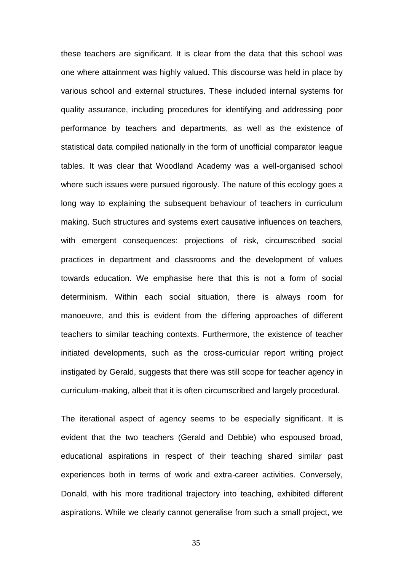these teachers are significant. It is clear from the data that this school was one where attainment was highly valued. This discourse was held in place by various school and external structures. These included internal systems for quality assurance, including procedures for identifying and addressing poor performance by teachers and departments, as well as the existence of statistical data compiled nationally in the form of unofficial comparator league tables. It was clear that Woodland Academy was a well-organised school where such issues were pursued rigorously. The nature of this ecology goes a long way to explaining the subsequent behaviour of teachers in curriculum making. Such structures and systems exert causative influences on teachers, with emergent consequences: projections of risk, circumscribed social practices in department and classrooms and the development of values towards education. We emphasise here that this is not a form of social determinism. Within each social situation, there is always room for manoeuvre, and this is evident from the differing approaches of different teachers to similar teaching contexts. Furthermore, the existence of teacher initiated developments, such as the cross-curricular report writing project instigated by Gerald, suggests that there was still scope for teacher agency in curriculum-making, albeit that it is often circumscribed and largely procedural.

The iterational aspect of agency seems to be especially significant. It is evident that the two teachers (Gerald and Debbie) who espoused broad, educational aspirations in respect of their teaching shared similar past experiences both in terms of work and extra-career activities. Conversely, Donald, with his more traditional trajectory into teaching, exhibited different aspirations. While we clearly cannot generalise from such a small project, we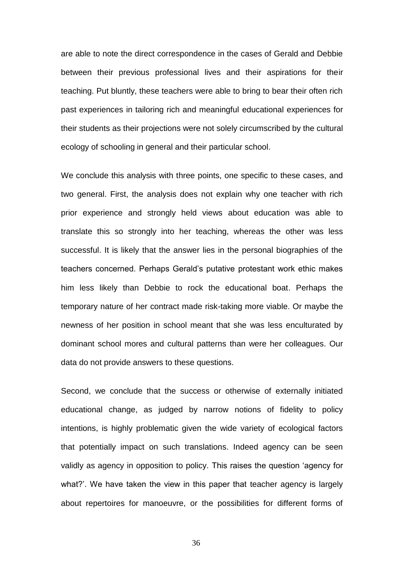are able to note the direct correspondence in the cases of Gerald and Debbie between their previous professional lives and their aspirations for their teaching. Put bluntly, these teachers were able to bring to bear their often rich past experiences in tailoring rich and meaningful educational experiences for their students as their projections were not solely circumscribed by the cultural ecology of schooling in general and their particular school.

We conclude this analysis with three points, one specific to these cases, and two general. First, the analysis does not explain why one teacher with rich prior experience and strongly held views about education was able to translate this so strongly into her teaching, whereas the other was less successful. It is likely that the answer lies in the personal biographies of the teachers concerned. Perhaps Gerald's putative protestant work ethic makes him less likely than Debbie to rock the educational boat. Perhaps the temporary nature of her contract made risk-taking more viable. Or maybe the newness of her position in school meant that she was less enculturated by dominant school mores and cultural patterns than were her colleagues. Our data do not provide answers to these questions.

Second, we conclude that the success or otherwise of externally initiated educational change, as judged by narrow notions of fidelity to policy intentions, is highly problematic given the wide variety of ecological factors that potentially impact on such translations. Indeed agency can be seen validly as agency in opposition to policy. This raises the question 'agency for what?'. We have taken the view in this paper that teacher agency is largely about repertoires for manoeuvre, or the possibilities for different forms of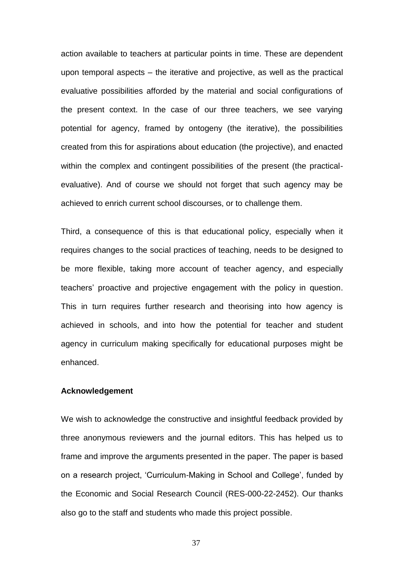action available to teachers at particular points in time. These are dependent upon temporal aspects – the iterative and projective, as well as the practical evaluative possibilities afforded by the material and social configurations of the present context. In the case of our three teachers, we see varying potential for agency, framed by ontogeny (the iterative), the possibilities created from this for aspirations about education (the projective), and enacted within the complex and contingent possibilities of the present (the practicalevaluative). And of course we should not forget that such agency may be achieved to enrich current school discourses, or to challenge them.

Third, a consequence of this is that educational policy, especially when it requires changes to the social practices of teaching, needs to be designed to be more flexible, taking more account of teacher agency, and especially teachers' proactive and projective engagement with the policy in question. This in turn requires further research and theorising into how agency is achieved in schools, and into how the potential for teacher and student agency in curriculum making specifically for educational purposes might be enhanced.

#### **Acknowledgement**

We wish to acknowledge the constructive and insightful feedback provided by three anonymous reviewers and the journal editors. This has helped us to frame and improve the arguments presented in the paper. The paper is based on a research project, 'Curriculum-Making in School and College', funded by the Economic and Social Research Council (RES-000-22-2452). Our thanks also go to the staff and students who made this project possible.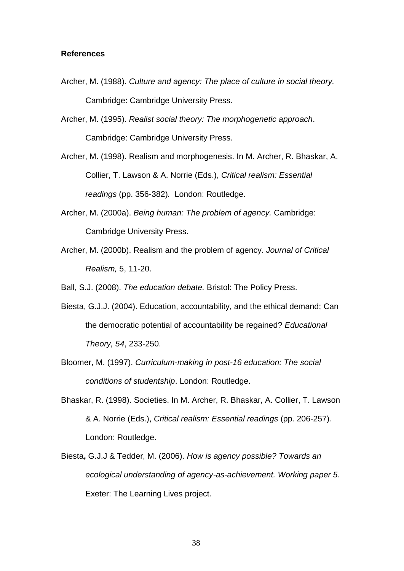#### **References**

- Archer, M. (1988). *Culture and agency: The place of culture in social theory.* Cambridge: Cambridge University Press.
- Archer, M. (1995). *Realist social theory: The morphogenetic approach*. Cambridge: Cambridge University Press.
- Archer, M. (1998). Realism and morphogenesis. In M. Archer, R. Bhaskar, A. Collier, T. Lawson & A. Norrie (Eds.), *Critical realism: Essential readings* (pp. 356-382)*.* London: Routledge.
- Archer, M. (2000a). *Being human: The problem of agency.* Cambridge: Cambridge University Press.
- Archer, M. (2000b). Realism and the problem of agency. *Journal of Critical Realism,* 5, 11-20.

Ball, S.J. (2008). *The education debate.* Bristol: The Policy Press.

- Biesta, G.J.J. (2004). Education, accountability, and the ethical demand; Can the democratic potential of accountability be regained? *Educational Theory, 54*, 233-250.
- Bloomer, M. (1997). *Curriculum-making in post-16 education: The social conditions of studentship*. London: Routledge.
- Bhaskar, R. (1998). Societies. In M. Archer, R. Bhaskar, A. Collier, T. Lawson & A. Norrie (Eds.), *Critical realism: Essential readings* (pp. 206-257)*.* London: Routledge.
- Biesta**,** G.J.J & Tedder, M. (2006). *How is agency possible? Towards an ecological understanding of agency-as-achievement. Working paper 5*. Exeter: The Learning Lives project.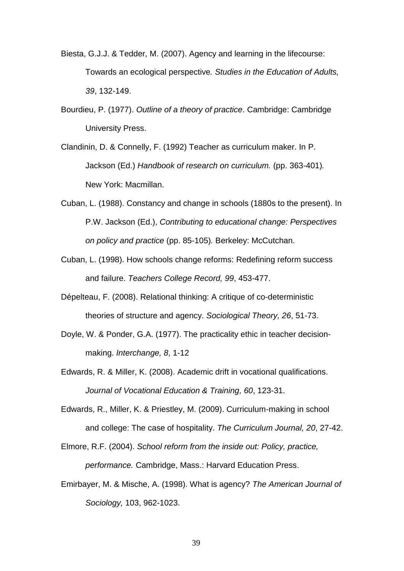- Biesta, G.J.J. & Tedder, M. (2007). Agency and learning in the lifecourse: Towards an ecological perspective*. Studies in the Education of Adults, 39*, 132-149.
- Bourdieu, P. (1977). *Outline of a theory of practice*. Cambridge: Cambridge University Press.
- Clandinin, D. & Connelly, F. (1992) Teacher as curriculum maker. In P. Jackson (Ed.) *Handbook of research on curriculum.* (pp. 363-401)*.* New York: Macmillan.
- Cuban, L. (1988). Constancy and change in schools (1880s to the present). In P.W. Jackson (Ed.), *Contributing to educational change: Perspectives on policy and practice* (pp. 85-105)*.* Berkeley: McCutchan.
- Cuban, L. (1998). How schools change reforms: Redefining reform success and failure. *Teachers College Record, 99*, 453-477.
- Dépelteau, F. (2008). Relational thinking: A critique of co-deterministic theories of structure and agency. *Sociological Theory, 26*, 51-73.
- Doyle, W. & Ponder, G.A. (1977). The practicality ethic in teacher decisionmaking. *Interchange, 8*, 1-12
- Edwards, R. & Miller, K. (2008). Academic drift in vocational qualifications. *Journal of Vocational Education & Training, 60*, 123-31.
- Edwards, R., Miller, K. & Priestley, M. (2009). Curriculum-making in school and college: The case of hospitality. *The Curriculum Journal, 20*, 27-42.
- Elmore, R.F. (2004). *School reform from the inside out: Policy, practice, performance.* Cambridge, Mass.: Harvard Education Press.
- Emirbayer, M. & Mische, A. (1998). What is agency? *The American Journal of Sociology,* 103, 962-1023.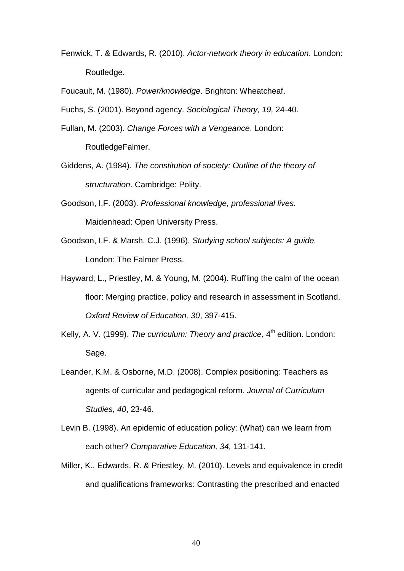- Fenwick, T. & Edwards, R. (2010). *Actor-network theory in education*. London: Routledge.
- Foucault, M. (1980). *Power/knowledge*. Brighton: Wheatcheaf.

Fuchs, S. (2001). Beyond agency. *Sociological Theory, 19,* 24-40.

- Fullan, M. (2003). *Change Forces with a Vengeance*. London: RoutledgeFalmer.
- Giddens, A. (1984). *The constitution of society: Outline of the theory of structuration*. Cambridge: Polity.
- Goodson, I.F. (2003). *Professional knowledge, professional lives.*  Maidenhead: Open University Press.
- Goodson, I.F. & Marsh, C.J. (1996). *Studying school subjects: A guide.* London: The Falmer Press.
- Hayward, L., Priestley, M. & Young, M. (2004). Ruffling the calm of the ocean floor: Merging practice, policy and research in assessment in Scotland. *Oxford Review of Education, 30*, 397-415.
- Kelly, A. V. (1999). The curriculum: Theory and practice, 4<sup>th</sup> edition. London: Sage.
- Leander, K.M. & Osborne, M.D. (2008). Complex positioning: Teachers as agents of curricular and pedagogical reform. *Journal of Curriculum Studies, 40*, 23-46.
- Levin B. (1998). An epidemic of education policy: (What) can we learn from each other? *Comparative Education, 34,* 131-141.
- Miller, K., Edwards, R. & Priestley, M. (2010). Levels and equivalence in credit and qualifications frameworks: Contrasting the prescribed and enacted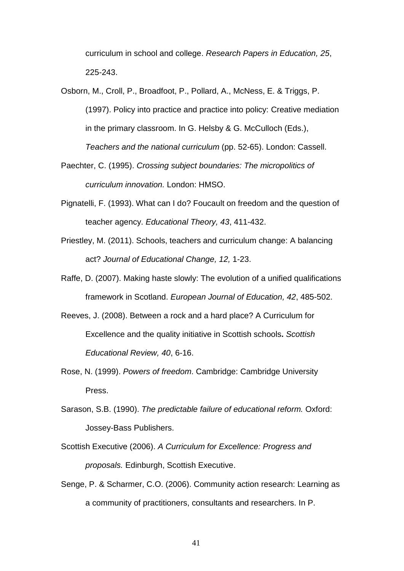curriculum in school and college. *Research Papers in Education, 25*, 225-243.

Osborn, M., Croll, P., Broadfoot, P., Pollard, A., McNess, E. & Triggs, P. (1997). Policy into practice and practice into policy: Creative mediation in the primary classroom. In G. Helsby & G. McCulloch (Eds.), *Teachers and the national curriculum* (pp. 52-65). London: Cassell.

- Paechter, C. (1995). *Crossing subject boundaries: The micropolitics of curriculum innovation.* London: HMSO.
- Pignatelli, F. (1993). What can I do? Foucault on freedom and the question of teacher agency. *Educational Theory, 43*, 411-432.
- Priestley, M. (2011). Schools, teachers and curriculum change: A balancing act? *Journal of Educational Change, 12,* 1-23.
- Raffe, D. (2007). Making haste slowly: The evolution of a unified qualifications framework in Scotland. *European Journal of Education, 42*, 485-502.
- Reeves, J. (2008). Between a rock and a hard place? A Curriculum for Excellence and the quality initiative in Scottish schools**.** *Scottish Educational Review, 40*, 6-16.
- Rose, N. (1999). *Powers of freedom*. Cambridge: Cambridge University Press.
- Sarason, S.B. (1990). *The predictable failure of educational reform.* Oxford: Jossey-Bass Publishers.
- Scottish Executive (2006). *A Curriculum for Excellence: Progress and proposals.* Edinburgh, Scottish Executive.
- Senge, P. & Scharmer, C.O. (2006). Community action research: Learning as a community of practitioners, consultants and researchers. In P.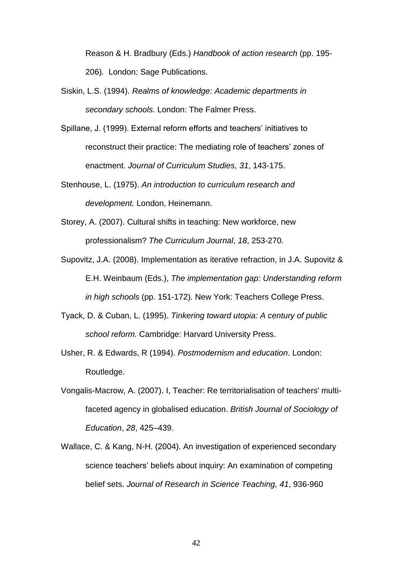Reason & H. Bradbury (Eds.) *Handbook of action research* (pp. 195- 206)*.* London: Sage Publications.

- Siskin, L.S. (1994). *Realms of knowledge: Academic departments in secondary schools.* London: The Falmer Press.
- Spillane, J. (1999). External reform efforts and teachers' initiatives to reconstruct their practice: The mediating role of teachers' zones of enactment. *Journal of Curriculum Studies, 31*, 143-175.
- Stenhouse, L. (1975). *An introduction to curriculum research and development.* London, Heinemann.
- Storey, A. (2007). Cultural shifts in teaching: New workforce, new professionalism? *The Curriculum Journal*, *18*, 253-270.
- Supovitz, J.A. (2008). Implementation as iterative refraction, in J.A. Supovitz & E.H. Weinbaum (Eds.), *The implementation gap: Understanding reform in high schools* (pp. 151-172)*.* New York: Teachers College Press.
- Tyack, D. & Cuban, L. (1995). *Tinkering toward utopia: A century of public school reform.* Cambridge: Harvard University Press.
- Usher, R. & Edwards, R (1994). *Postmodernism and education*. London: Routledge.
- Vongalis-Macrow, A. (2007). I, Teacher: Re territorialisation of teachers' multifaceted agency in globalised education. *British Journal of Sociology of Education*, *28*, 425–439.
- Wallace, C. & Kang, N-H. (2004). An investigation of experienced secondary science teachers' beliefs about inquiry: An examination of competing belief sets. *Journal of Research in Science Teaching, 41*, 936-960